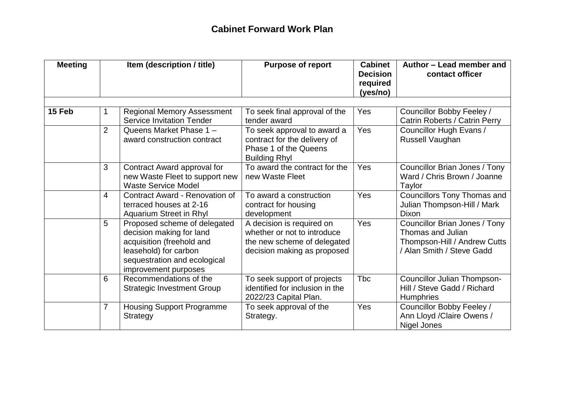## **Cabinet Forward Work Plan**

| <b>Meeting</b> | Item (description / title) |                                                                                                                                                                        | <b>Purpose of report</b>                                                                                               | <b>Cabinet</b><br><b>Decision</b><br>required<br>(yes/no) | Author - Lead member and<br>contact officer                                                                     |  |
|----------------|----------------------------|------------------------------------------------------------------------------------------------------------------------------------------------------------------------|------------------------------------------------------------------------------------------------------------------------|-----------------------------------------------------------|-----------------------------------------------------------------------------------------------------------------|--|
| 15 Feb         | 1.                         | <b>Regional Memory Assessment</b><br><b>Service Invitation Tender</b>                                                                                                  | To seek final approval of the<br>tender award                                                                          | Yes                                                       | Councillor Bobby Feeley /<br>Catrin Roberts / Catrin Perry                                                      |  |
|                | $\overline{2}$             | Queens Market Phase 1 -<br>award construction contract                                                                                                                 | To seek approval to award a<br>contract for the delivery of<br>Phase 1 of the Queens<br><b>Building Rhyl</b>           | Yes                                                       | Councillor Hugh Evans /<br>Russell Vaughan                                                                      |  |
|                | 3                          | Contract Award approval for<br>new Waste Fleet to support new<br><b>Waste Service Model</b>                                                                            | To award the contract for the<br>new Waste Fleet                                                                       | Yes                                                       | Councillor Brian Jones / Tony<br>Ward / Chris Brown / Joanne<br>Taylor                                          |  |
|                | 4                          | <b>Contract Award - Renovation of</b><br>terraced houses at 2-16<br>Aquarium Street in Rhyl                                                                            | To award a construction<br>contract for housing<br>development                                                         | Yes                                                       | <b>Councillors Tony Thomas and</b><br>Julian Thompson-Hill / Mark<br><b>Dixon</b>                               |  |
|                | 5                          | Proposed scheme of delegated<br>decision making for land<br>acquisition (freehold and<br>leasehold) for carbon<br>sequestration and ecological<br>improvement purposes | A decision is required on<br>whether or not to introduce<br>the new scheme of delegated<br>decision making as proposed | Yes                                                       | Councillor Brian Jones / Tony<br>Thomas and Julian<br>Thompson-Hill / Andrew Cutts<br>/ Alan Smith / Steve Gadd |  |
|                | 6                          | Recommendations of the<br><b>Strategic Investment Group</b>                                                                                                            | To seek support of projects<br>identified for inclusion in the<br>2022/23 Capital Plan.                                | <b>Tbc</b>                                                | Councillor Julian Thompson-<br>Hill / Steve Gadd / Richard<br><b>Humphries</b>                                  |  |
|                | 7                          | <b>Housing Support Programme</b><br>Strategy                                                                                                                           | To seek approval of the<br>Strategy.                                                                                   | Yes                                                       | Councillor Bobby Feeley /<br>Ann Lloyd / Claire Owens /<br>Nigel Jones                                          |  |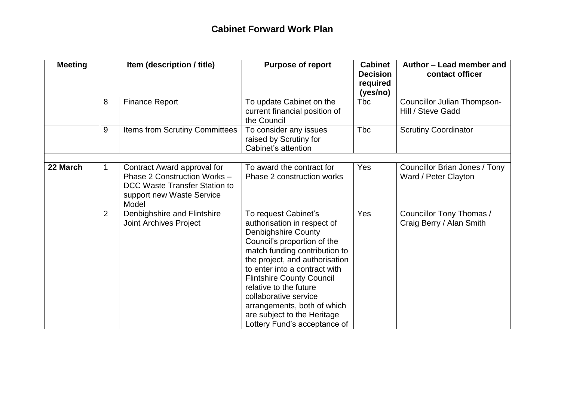| <b>Meeting</b> | Item (description / title) |                                                                                                                                    | <b>Purpose of report</b>                                                                                                                                                                                                                                                                                                                                                                                  | <b>Cabinet</b><br><b>Decision</b><br>required<br>(yes/no) | Author - Lead member and<br>contact officer           |  |
|----------------|----------------------------|------------------------------------------------------------------------------------------------------------------------------------|-----------------------------------------------------------------------------------------------------------------------------------------------------------------------------------------------------------------------------------------------------------------------------------------------------------------------------------------------------------------------------------------------------------|-----------------------------------------------------------|-------------------------------------------------------|--|
|                | 8                          | <b>Finance Report</b>                                                                                                              | To update Cabinet on the<br>current financial position of<br>the Council                                                                                                                                                                                                                                                                                                                                  | <b>T</b> bc                                               | Councillor Julian Thompson-<br>Hill / Steve Gadd      |  |
|                | 9                          | Items from Scrutiny Committees                                                                                                     | To consider any issues<br>raised by Scrutiny for<br>Cabinet's attention                                                                                                                                                                                                                                                                                                                                   | <b>Tbc</b>                                                | <b>Scrutiny Coordinator</b>                           |  |
| 22 March       | 1                          | Contract Award approval for<br>Phase 2 Construction Works -<br>DCC Waste Transfer Station to<br>support new Waste Service<br>Model | To award the contract for<br>Phase 2 construction works                                                                                                                                                                                                                                                                                                                                                   | Yes                                                       | Councillor Brian Jones / Tony<br>Ward / Peter Clayton |  |
|                | $\overline{2}$             | Denbighshire and Flintshire<br><b>Joint Archives Project</b>                                                                       | To request Cabinet's<br>authorisation in respect of<br><b>Denbighshire County</b><br>Council's proportion of the<br>match funding contribution to<br>the project, and authorisation<br>to enter into a contract with<br><b>Flintshire County Council</b><br>relative to the future<br>collaborative service<br>arrangements, both of which<br>are subject to the Heritage<br>Lottery Fund's acceptance of | Yes                                                       | Councillor Tony Thomas /<br>Craig Berry / Alan Smith  |  |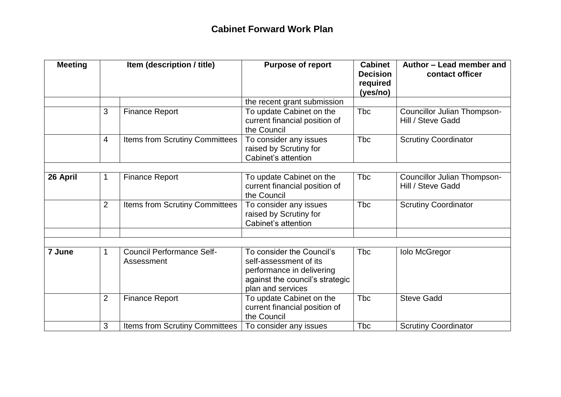| <b>Meeting</b> |                | Item (description / title)                     | <b>Purpose of report</b>                                                                                                                 | <b>Cabinet</b><br><b>Decision</b><br>required<br>(yes/no) | Author - Lead member and<br>contact officer             |
|----------------|----------------|------------------------------------------------|------------------------------------------------------------------------------------------------------------------------------------------|-----------------------------------------------------------|---------------------------------------------------------|
|                |                |                                                | the recent grant submission                                                                                                              |                                                           |                                                         |
|                | 3              | <b>Finance Report</b>                          | To update Cabinet on the<br>current financial position of<br>the Council                                                                 | <b>Tbc</b>                                                | <b>Councillor Julian Thompson-</b><br>Hill / Steve Gadd |
|                | $\overline{4}$ | Items from Scrutiny Committees                 | To consider any issues<br>raised by Scrutiny for<br>Cabinet's attention                                                                  | <b>Tbc</b>                                                | <b>Scrutiny Coordinator</b>                             |
|                |                |                                                |                                                                                                                                          |                                                           |                                                         |
| 26 April       | 1              | <b>Finance Report</b>                          | To update Cabinet on the<br>current financial position of<br>the Council                                                                 | <b>Tbc</b>                                                | <b>Councillor Julian Thompson-</b><br>Hill / Steve Gadd |
|                | $\overline{2}$ | Items from Scrutiny Committees                 | To consider any issues<br>raised by Scrutiny for<br>Cabinet's attention                                                                  | <b>Tbc</b>                                                | <b>Scrutiny Coordinator</b>                             |
|                |                |                                                |                                                                                                                                          |                                                           |                                                         |
| 7 June         |                | <b>Council Performance Self-</b><br>Assessment | To consider the Council's<br>self-assessment of its<br>performance in delivering<br>against the council's strategic<br>plan and services | <b>Tbc</b>                                                | <b>Iolo McGregor</b>                                    |
|                | $\overline{2}$ | <b>Finance Report</b>                          | To update Cabinet on the<br>current financial position of<br>the Council                                                                 | <b>Tbc</b>                                                | <b>Steve Gadd</b>                                       |
|                | 3              | <b>Items from Scrutiny Committees</b>          | To consider any issues                                                                                                                   | <b>Tbc</b>                                                | <b>Scrutiny Coordinator</b>                             |